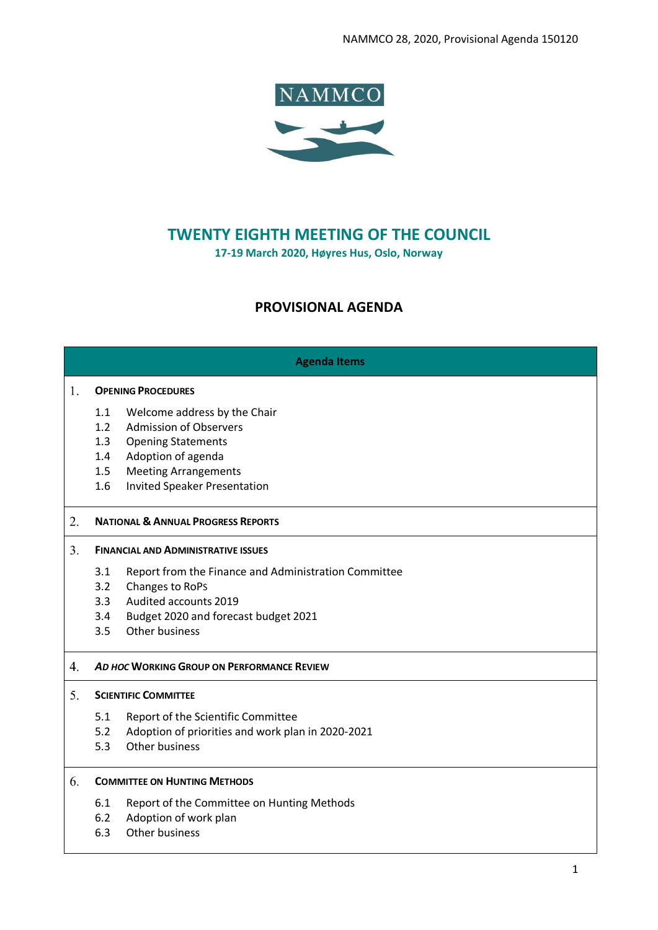

# **TWENTY EIGHTH MEETING OF THE COUNCIL**

**17-19 March 2020, Høyres Hus, Oslo, Norway**

# **PROVISIONAL AGENDA**

| <b>Agenda Items</b> |                                            |                                                      |  |
|---------------------|--------------------------------------------|------------------------------------------------------|--|
| 1.                  |                                            | <b>OPENING PROCEDURES</b>                            |  |
|                     | 1.1                                        | Welcome address by the Chair                         |  |
|                     | 1.2                                        | <b>Admission of Observers</b>                        |  |
|                     | 1.3                                        | <b>Opening Statements</b>                            |  |
|                     | 1.4                                        | Adoption of agenda                                   |  |
|                     | 1.5                                        | <b>Meeting Arrangements</b>                          |  |
|                     | 1.6                                        | <b>Invited Speaker Presentation</b>                  |  |
| 2.                  |                                            | <b>NATIONAL &amp; ANNUAL PROGRESS REPORTS</b>        |  |
| 3.                  | <b>FINANCIAL AND ADMINISTRATIVE ISSUES</b> |                                                      |  |
|                     | 3.1                                        | Report from the Finance and Administration Committee |  |
|                     | 3.2                                        | Changes to RoPs                                      |  |
|                     | 3.3                                        | Audited accounts 2019                                |  |
|                     | 3.4                                        | Budget 2020 and forecast budget 2021                 |  |
|                     | 3.5                                        | Other business                                       |  |
| 4.                  | AD HOC WORKING GROUP ON PERFORMANCE REVIEW |                                                      |  |
| 5.                  | <b>SCIENTIFIC COMMITTEE</b>                |                                                      |  |
|                     | 5.1                                        | Report of the Scientific Committee                   |  |
|                     | 5.2                                        | Adoption of priorities and work plan in 2020-2021    |  |
|                     | 5.3                                        | Other business                                       |  |
| 6.                  | <b>COMMITTEE ON HUNTING METHODS</b>        |                                                      |  |

- 6.1 Report of the Committee on Hunting Methods<br>6.2 Adoption of work plan
- Adoption of work plan
- 6.3 Other business